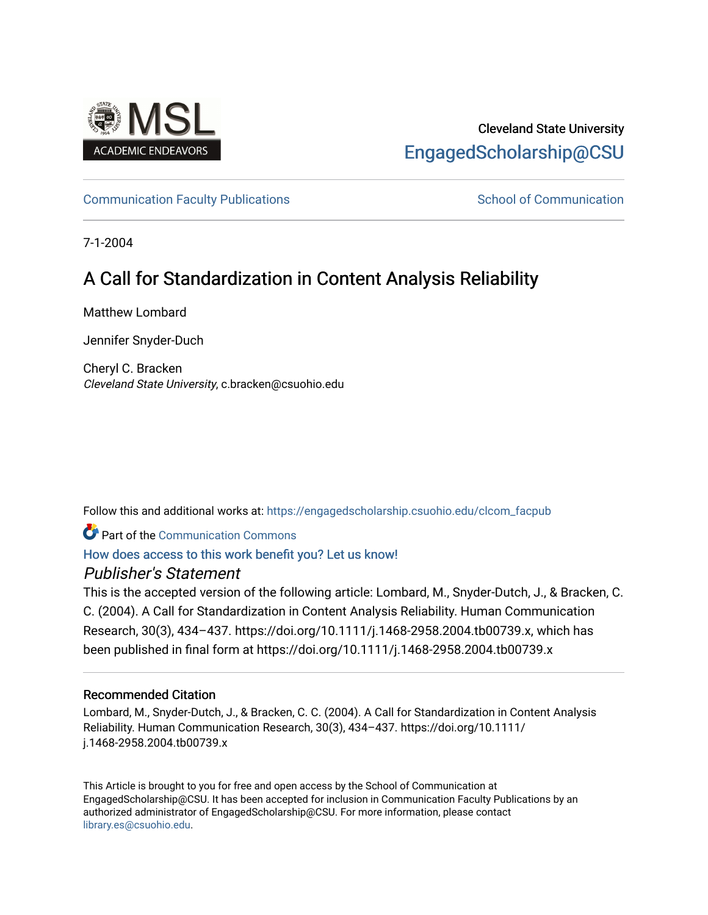

# Cleveland State University [EngagedScholarship@CSU](https://engagedscholarship.csuohio.edu/)

[Communication Faculty Publications](https://engagedscholarship.csuohio.edu/clcom_facpub) [School of Communication](https://engagedscholarship.csuohio.edu/clcom) School of Communication

7-1-2004

# A Call for Standardization in Content Analysis Reliability

Matthew Lombard

Jennifer Snyder-Duch

Cheryl C. Bracken Cleveland State University, c.bracken@csuohio.edu

Follow this and additional works at: [https://engagedscholarship.csuohio.edu/clcom\\_facpub](https://engagedscholarship.csuohio.edu/clcom_facpub?utm_source=engagedscholarship.csuohio.edu%2Fclcom_facpub%2F51&utm_medium=PDF&utm_campaign=PDFCoverPages) 

**C** Part of the Communication Commons

## [How does access to this work benefit you? Let us know!](http://library.csuohio.edu/engaged/)

# Publisher's Statement

This is the accepted version of the following article: Lombard, M., Snyder-Dutch, J., & Bracken, C. C. (2004). A Call for Standardization in Content Analysis Reliability. Human Communication Research, 30(3), 434–437. https://doi.org/10.1111/j.1468-2958.2004.tb00739.x, which has been published in final form at https://doi.org/10.1111/j.1468-2958.2004.tb00739.x

## Recommended Citation

Lombard, M., Snyder-Dutch, J., & Bracken, C. C. (2004). A Call for Standardization in Content Analysis Reliability. Human Communication Research, 30(3), 434–437. https://doi.org/10.1111/ j.1468-2958.2004.tb00739.x

This Article is brought to you for free and open access by the School of Communication at EngagedScholarship@CSU. It has been accepted for inclusion in Communication Faculty Publications by an authorized administrator of EngagedScholarship@CSU. For more information, please contact [library.es@csuohio.edu.](mailto:library.es@csuohio.edu)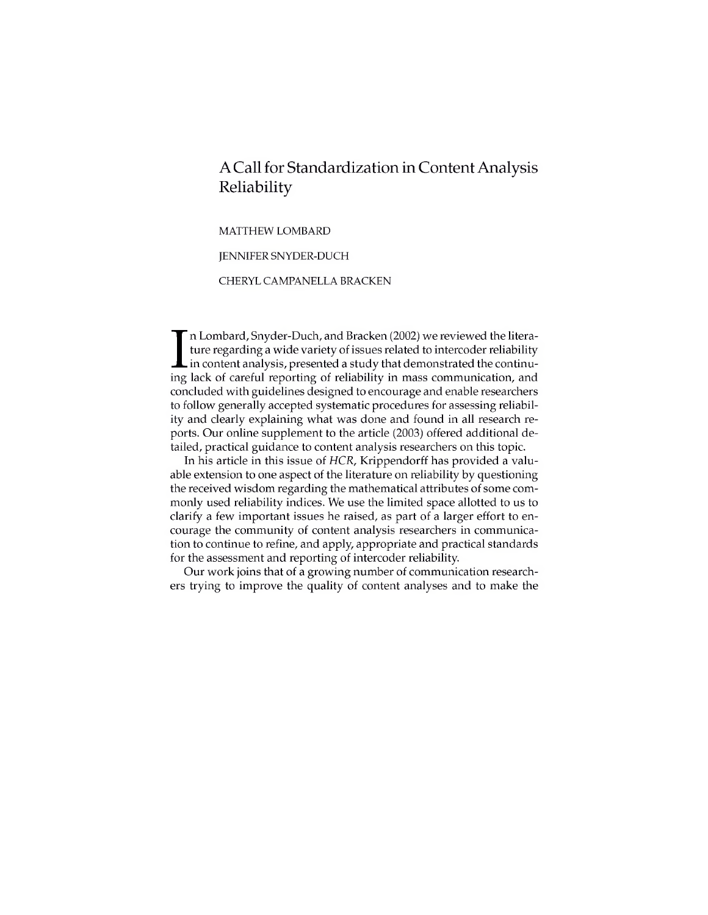# ACall for Standardization in ContentAnalysis Reliability

MATTHEW LOMBARD

JENNIFER SNYDER-DUCH

CHERYL CAMPANELLA BRACKEN

In Lombard, Snyder-Duch, and Bracken (2002) we reviewed the litera-<br>ture regarding a wide variety of issues related to intercoder reliability<br>in content analysis, presented a study that demonstrated the continu-<br>ing lack o n Lombard, Snyder-Duch, and Bracken (2002) we reviewed the literature regarding a wide variety of issues related to intercoder reliability in content analysis, presented a study that demonstrated the continuconcluded with guidelines designed to encourage and enable researchers to follow generally accepted systematic procedures for assessing reliability and clearly explaining what was done and found in all research reports. Our online supplement to the article (2003) offered additional detailed, practical guidance to content analysis researchers on this topic.

In his article in this issue of *HCR,* Krippendorff has provided a valuable extension to one aspect of the literature on reliability by questioning the received wisdom regarding the mathematical attributes of some commonly used reliability indices. We use the limited space allotted to us to clarify a few important issues he raised, as part of a larger effort to encourage the community of content analysis researchers in communication to continue to refine, and apply, appropriate and practical standards for the assessment and reporting of intercoder reliability.

Our work joins that of a growing number of communication researchers trying to improve the quality of content analyses and to make the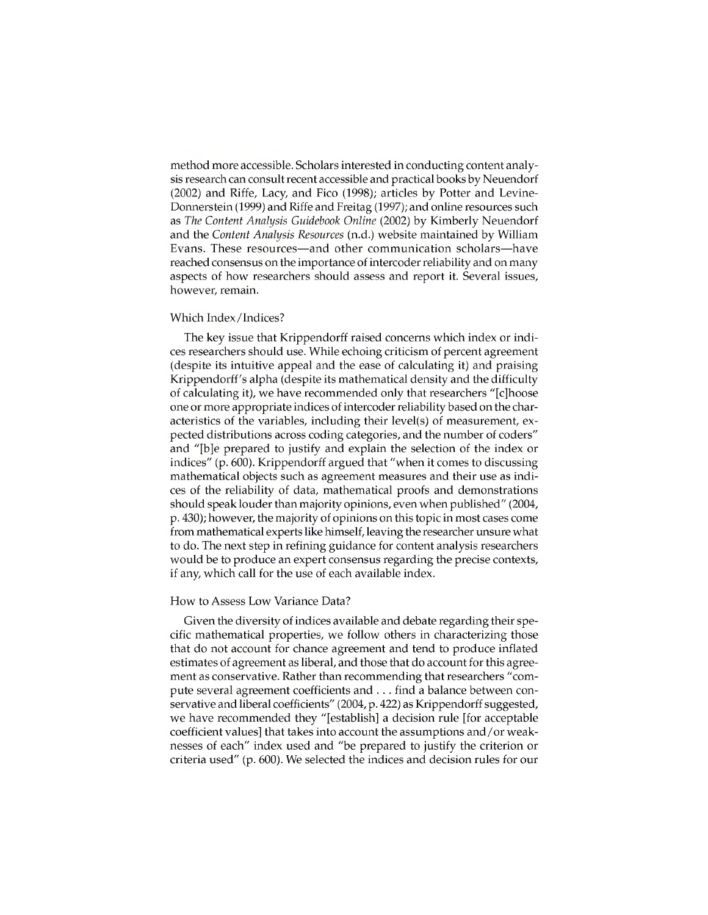method more accessible. Scholars interested in conducting content analysis research can consult recent accessible and practical books by Neuendorf (2002) and Riffe, Lacy, and Fico (1998); articles by Potter and Levine-Donnerstein (1999) and Riffe and Freitag (1997); and online resources such as *The Content Analysis Guidebook Online* (2002) by Kimberly Neuendorf and the *Content Analysis Resources* (n.d.) website maintained by William Evans. These resources—and other communication scholars—have reached consensus on the importance of intercoder reliability and on many aspects of how researchers should assess and report it. Several issues, however, remain.

### Which Index/Indices?

The key issue that Krippendorff raised concerns which index or indices researchers should use. While echoing criticism of percent agreement (despite its intuitive appeal and the ease of calculating it) and praising Krippendorff's alpha (despite its mathematical density and the difficulty of calculating it), we have recommended only that researchers "[c]hoose one or more appropriate indices of intercoder reliability based on the characteristics of the variables, including their level(s) of measurement, expected distributions across coding categories, and the number of coders" and "[b]e prepared to justify and explain the selection of the index or indices" (p. 600). Krippendorff argued that "when it comes to discussing mathematical objects such as agreement measures and their use as indices of the reliability of data, mathematical proofs and demonstrations should speak louder than majority opinions, even when published" (2004, p. 430); however, the majority of opinions on this topic in most cases come from mathematical experts like himself, leaving the researcher unsure what to do. The next step in refining guidance for content analysis researchers would be to produce an expert consensus regarding the precise contexts, if any, which call for the use of each available index.

#### How to Assess Low Variance Data?

Given the diversity of indices available and debate regarding their specific mathematical properties, we follow others in characterizing those that do not account for chance agreement and tend to produce inflated estimates of agreement as liberal, and those that do account for this agreement as conservative. Rather than recommending that researchers "compute several agreement coefficients and . . . find a balance between conservative and liberal coefficients" (2004, p. 422) as Krippendorff suggested, we have recommended they "[establish] a decision rule [for acceptable coefficient values] that takes into account the assumptions and/or weaknesses of each" index used and "be prepared to justify the criterion or criteria used" (p. 600). We selected the indices and decision rules for our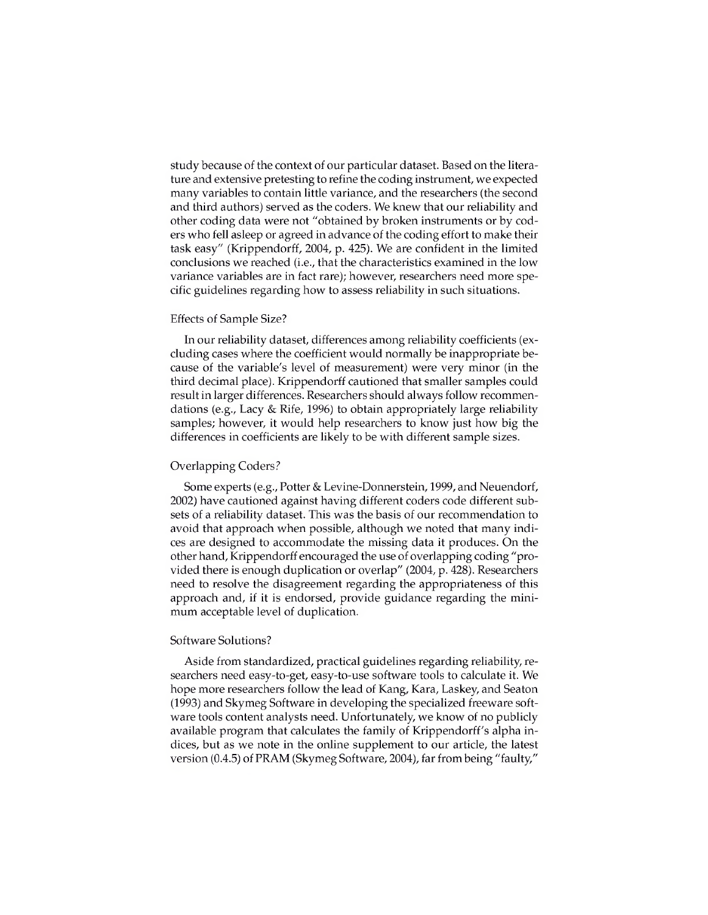study because of the context of our particular dataset. Based on the literature and extensive pretesting to refine the coding instrument, we expected many variables to contain little variance, and the researchers (the second and third authors) served as the coders. We knew that our reliability and other coding data were not "obtained by broken instruments or by coders who fell asleep or agreed in advance of the coding effort to make their task easy" (Krippendorff, 2004, p. 425). We are confident in the limited conclusions we reached (i.e., that the characteristics examined in the low variance variables are in fact rare); however, researchers need more specific guidelines regarding how to assess reliability in such situations.

### Effects of Sample Size?

In our reliability dataset, differences among reliability coefficients (excluding cases where the coefficient would normally be inappropriate because of the variable's level of measurement) were very minor (in the third decimal place). Krippendorff cautioned that smaller samples could result in larger differences. Researchers should always follow recommendations (e.g., Lacy & Rife, 1996) to obtain appropriately large reliability samples; however, it would help researchers to know just how big the differences in coefficients are likely to be with different sample sizes.

#### Overlapping Coders?

Some experts (e.g., Potter & Levine-Donnerstein, 1999, and Neuendorf, 2002) have cautioned against having different coders code different subsets of a reliability dataset. This was the basis of our recommendation to avoid that approach when possible, although we noted that many indices are designed to accommodate the missing data it produces. On the other hand, Krippendorff encouraged the use of overlapping coding "provided there is enough duplication or overlap" (2004, p. 428). Researchers need to resolve the disagreement regarding the appropriateness of this approach and, if it is endorsed, provide guidance regarding the minimum acceptable level of duplication.

### Software Solutions?

Aside from standardized, practical guidelines regarding reliability, researchers need easy-to-get, easy-to-use software tools to calculate it. We hope more researchers follow the lead of Kang, Kara, Laskey, and Seaton (1993) and Skymeg Software in developing the specialized freeware software tools content analysts need. Unfortunately, we know of no publicly available program that calculates the family of Krippendorff's alpha indices, but as we note in the online supplement to our article, the latest version (0.4.5) of PRAM (Skymeg Software, 2004), far from being "faulty,"